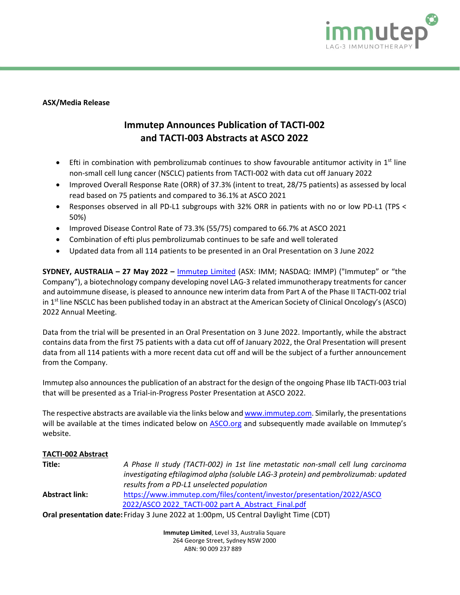

### **ASX/Media Release**

# **Immutep Announces Publication of TACTI-002 and TACTI-003 Abstracts at ASCO 2022**

- Efti in combination with pembrolizumab continues to show favourable antitumor activity in  $1<sup>st</sup>$  line non-small cell lung cancer (NSCLC) patients from TACTI-002 with data cut off January 2022
- Improved Overall Response Rate (ORR) of 37.3% (intent to treat, 28/75 patients) as assessed by local read based on 75 patients and compared to 36.1% at ASCO 2021
- Responses observed in all PD-L1 subgroups with 32% ORR in patients with no or low PD-L1 (TPS < 50%)
- Improved Disease Control Rate of 73.3% (55/75) compared to 66.7% at ASCO 2021
- Combination of efti plus pembrolizumab continues to be safe and well tolerated
- Updated data from all 114 patients to be presented in an Oral Presentation on 3 June 2022

**SYDNEY, AUSTRALIA – 27 May 2022 –** [Immutep Limited](http://www.immutep.com/) (ASX: IMM; NASDAQ: IMMP) ("Immutep" or "the Company"), a biotechnology company developing novel LAG-3 related immunotherapy treatments for cancer and autoimmune disease, is pleased to announce new interim data from Part A of the Phase II TACTI-002 trial in 1<sup>st</sup> line NSCLC has been published today in an abstract at the American Society of Clinical Oncology's (ASCO) 2022 Annual Meeting.

Data from the trial will be presented in an Oral Presentation on 3 June 2022. Importantly, while the abstract contains data from the first 75 patients with a data cut off of January 2022, the Oral Presentation will present data from all 114 patients with a more recent data cut off and will be the subject of a further announcement from the Company.

Immutep also announces the publication of an abstract for the design of the ongoing Phase IIb TACTI-003 trial that will be presented as a Trial-in-Progress Poster Presentation at ASCO 2022.

The respective abstracts are available via the links below and [www.immutep.com.](http://www.immutep.com/) Similarly, the presentations will be available at the times indicated below on [ASCO.org](https://conferences.asco.org/am/attend) and subsequently made available on Immutep's website.

# **TACTI-002 Abstract**

| Title:                | A Phase II study (TACTI-002) in 1st line metastatic non-small cell lung carcinoma           |
|-----------------------|---------------------------------------------------------------------------------------------|
|                       | investigating eftilagimod alpha (soluble LAG-3 protein) and pembrolizumab: updated          |
|                       | results from a PD-L1 unselected population                                                  |
| <b>Abstract link:</b> | https://www.immutep.com/files/content/investor/presentation/2022/ASCO                       |
|                       | 2022/ASCO 2022 TACTI-002 part A Abstract Final.pdf                                          |
|                       | <b>Oral presentation date: Friday 3 June 2022 at 1:00pm, US Central Daylight Time (CDT)</b> |

**Immutep Limited**, Level 33, Australia Square

264 George Street, Sydney NSW 2000 ABN: 90 009 237 889